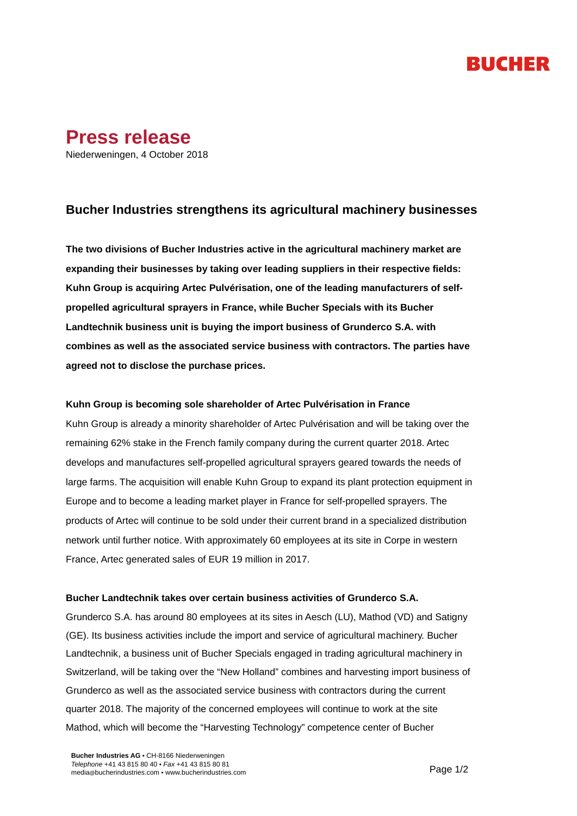# RUCHER



Niederweningen, 4 October 2018

## **Bucher Industries strengthens its agricultural machinery businesses**

**The two divisions of Bucher Industries active in the agricultural machinery market are expanding their businesses by taking over leading suppliers in their respective fields: Kuhn Group is acquiring Artec Pulvérisation, one of the leading manufacturers of selfpropelled agricultural sprayers in France, while Bucher Specials with its Bucher Landtechnik business unit is buying the import business of Grunderco S.A. with combines as well as the associated service business with contractors. The parties have agreed not to disclose the purchase prices.**

### **Kuhn Group is becoming sole shareholder of Artec Pulvérisation in France**

Kuhn Group is already a minority shareholder of Artec Pulvérisation and will be taking over the remaining 62% stake in the French family company during the current quarter 2018. Artec develops and manufactures self-propelled agricultural sprayers geared towards the needs of large farms. The acquisition will enable Kuhn Group to expand its plant protection equipment in Europe and to become a leading market player in France for self-propelled sprayers. The products of Artec will continue to be sold under their current brand in a specialized distribution network until further notice. With approximately 60 employees at its site in Corpe in western France, Artec generated sales of EUR 19 million in 2017.

### **Bucher Landtechnik takes over certain business activities of Grunderco S.A.**

Grunderco S.A. has around 80 employees at its sites in Aesch (LU), Mathod (VD) and Satigny (GE). Its business activities include the import and service of agricultural machinery. Bucher Landtechnik, a business unit of Bucher Specials engaged in trading agricultural machinery in Switzerland, will be taking over the "New Holland" combines and harvesting import business of Grunderco as well as the associated service business with contractors during the current quarter 2018. The majority of the concerned employees will continue to work at the site Mathod, which will become the "Harvesting Technology" competence center of Bucher